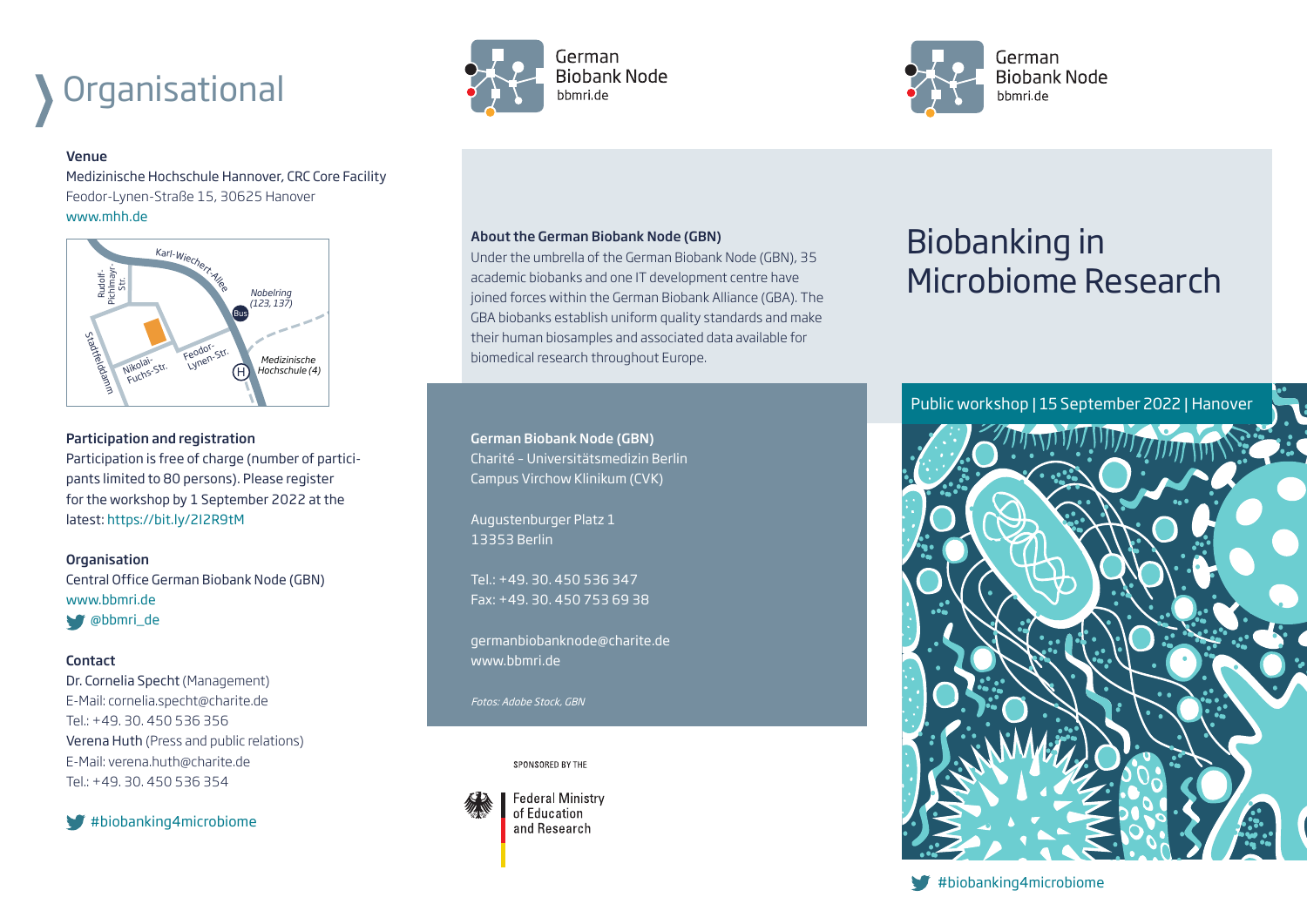# **Organisational**

#### Venue

Medizinische Hochschule Hannover, CRC Core Facility Feodor-Lynen-Straße 15, 30625 Hanover www.mhh.de



### Participation and registration

Participation is free of charge (number of participants limited to 80 persons). Please register for the workshop by 1 September 2022 at the latest: https://bit.ly/2I2R9tM

### **Organisation**

Central Office German Biobank Node (GBN) www.bbmri.de @bbmri\_de

### **Contact**

Dr. Cornelia Specht (Management) E-Mail: cornelia.specht@charite.de Tel.: +49. 30. 450 536 356 Verena Huth (Press and public relations) E-Mail: verena.huth@charite.de Tel.: +49. 30. 450 536 354

 $#$ biobanking4microbiome





### About the German Biobank Node (GBN)

Under the umbrella of the German Biobank Node (GBN), 35 academic biobanks and one IT development centre have joined forces within the German Biobank Alliance (GBA). The GBA biobanks establish uniform quality standards and make their human biosamples and associated data available for biomedical research throughout Europe.

German Biobank Node (GBN) Charité – Universitätsmedizin Berlin Campus Virchow Klinikum (CVK)

Augustenburger Platz 1 13353 Berlin

Tel.: +49. 30. 450 536 347 Fax: +49. 30. 450 753 69 38

germanbiobanknode@charite.de www.bbmri.de

Fotos: Adobe Stock, GBN

SPONSORED BY THE



**Federal Ministry** of Education and Research

## Biobanking in Microbiome Research